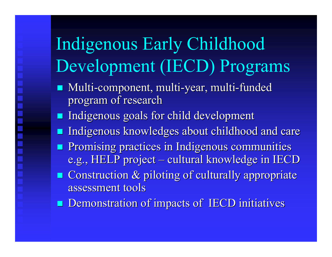# Indigenous Early Childhood Development (IECD) Programs

- Multi-component, multi-year, multi-funded program of research
- **Indigenous goals for child development**
- e<br>Se Indigenous knowledges about childhood and care
- **Promising practices in Indigenous communities** e.g., HELP project  $\cdot$  $\mathcal{L}_{\mathcal{A}}$ – cultural knowledge in IECD
- $\blacksquare$  Construction & piloting of culturally appropriate assessment tools assessment tools
- **Demonstration of impacts of IECD initiatives**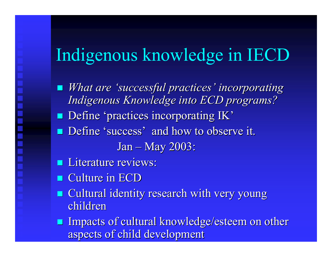# Indigenous knowledge in IECD

- *What are 'successful practices' incorporating Indigenous Knowledge into ECD programs? Indigenous Knowledge into ECD programs?* **Define 'practices incorporating IK' Define 'success' and how to observe it.** Jan – May 2003:
- **Literature reviews:**
- $\blacksquare$  Culture in ECD
- **E** Cultural identity research with very young children
- **Impacts of cultural knowledge/esteem on other** aspects of child development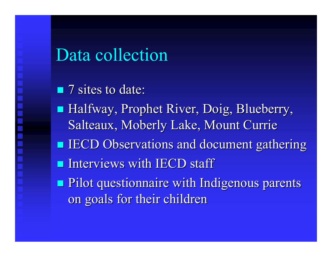#### Data collection

 $\blacksquare$  7 sites to date: Halfway, Prophet River, Doig, Blueberry,  $\blacksquare$ Salteaux, Moberly Lake, Mount Currie **IECD Observations and document gathering**  $\blacksquare$  Interviews with IECD staff **Pilot questionnaire with Indigenous parents** on goals for their children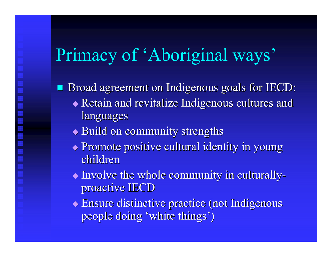# Primacy of 'Aboriginal ways'

Broad agreement on Indigenous goals for IECD:

- $\blacklozenge$  Retain and revitalize Indigenous cultures and languages
- $\blacklozenge$  Build on community strengths
- $\blacklozenge$  Promote positive cultural identity in young children
- $\blacklozenge$  Involve the whole community in culturally proactive IECD
- $\bullet$  Ensure distinctive practice (not Indigenous people doing 'white things')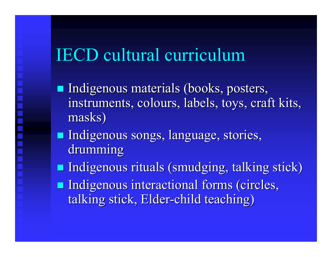### IECD cultural curriculum

- **Indigenous materials (books, posters,** instruments, colours, labels, toys, craft kits, masks)
- **Indigenous songs, language, stories,** drumming
- **Indigenous rituals (smudging, talking stick) Indigenous interactional forms (circles,** talking stick, Elder-child teaching)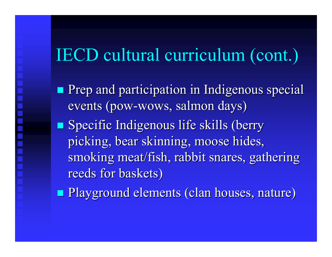### IECD cultural curriculum (cont.)

**Prep and participation in Indigenous special** events (pow-wows, salmon days) **Specific Indigenous life skills (berry** picking, bear skinning, moose hides, smoking meat/fish, rabbit snares, gathering reeds for baskets)

**Playground elements (clan houses, nature)**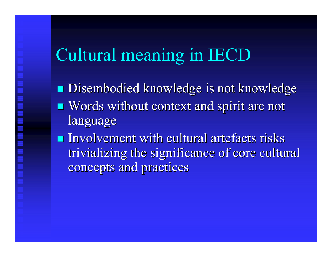# Cultural meaning in IECD

**Disembodied knowledge is not knowledge**  $\blacksquare$  Words without context and spirit are not language  $\blacksquare$  Involvement with cultural artefacts risks

trivializing the significance of core cultural concepts and practices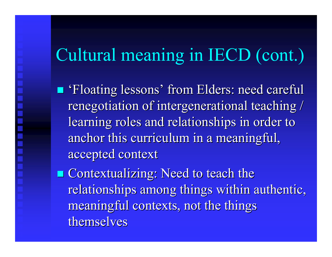# Cultural meaning in IECD (cont.)

 'Floating lessons' from Elders: need careful Floating lessons' from Elders: need careful renegotiation of intergenerational teaching / learning roles and relationships in order to anchor this curriculum in a meaningful, accepted context accepted context

**Contextualizing: Need to teach the** relationships among things within authentic, meaningful contexts, not the things themselves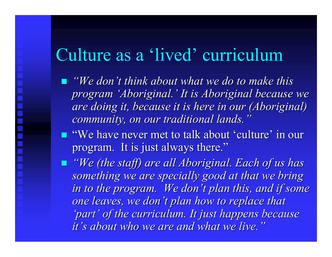#### Culture as a 'lived' curriculum

**T** "We don't think about what we do to make this *program 'Aboriginal.' It is Aboriginal because we program 'Aboriginal.' It is Aboriginal because we are doing it, because it is here in our (Aboriginal) are doing it, because it is here in our (Aboriginal) community, on our traditional lands." community, on our traditional lands."*

 "We have never met to talk about 'culture' in our "We have never met to talk about 'culture' in our program. It is just always there."

 *"We (the staff) are all Aboriginal. Each of us has "We (the staff) are all Aboriginal. Each of us has*  something we are specially good at that we bring *in to the program. We don't plan this, and if some one leaves, we don't plan how to replace that 'part' of the curriculum. It just happens because 'part' of the curriculum. It just happens because it's about who we are and what we live." it's about who we are and what we live."*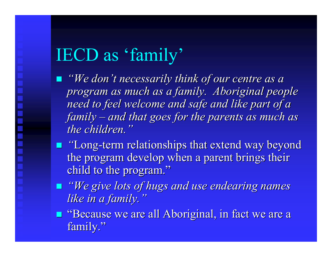## IECD as 'family'

*"We don't necessarily think of our centre as a program as much as a family. Aboriginal people program as much as a family. Aboriginal people need to feel welcome and safe and like part of a need to feel welcome and safe and like part of a family and that goes for the parents as much as and that goes for the parents as much as the children."* 

- **T** "Long-term relationships that extend way beyond the program develop when a parent brings their child to the program."
- *"We give lots of hugs and use endearing names "We give lots of hugs and use endearing names like in a family." like in a family."*
- **E** "Because we are all Aboriginal, in fact we are a family."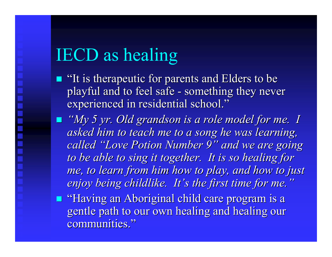# IECD as healing

- $\blacksquare$  "It is therapeutic for parents and Elders to be playful and to feel safe -- something they never experienced in residential school."
- *"My 5 yr. Old grandson is a role model for me. I asked him to teach me to a song he was learning, called "Love Potion Number 9" and we are going called "Love Potion Number 9" and we are going to be able to sing it together. It is so healing for* me, to learn from him how to play, and how to just *enjoy being childlike. It's the first time for me." enjoy being childlike. It's the first time for me."*
- "Having an Aboriginal child care program is a "Having an Aboriginal child care program is a gentle path to our own healing and healing our communities."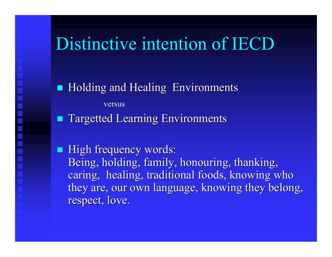#### Distinctive intention of IECD

**Holding and Healing Environments** versus **Targetted Learning Environments** 

**High frequency words:** Being, holding, family, honouring, thanking, caring, healing, traditional foods, knowing who they are, our own language, knowing they belong, respect, love.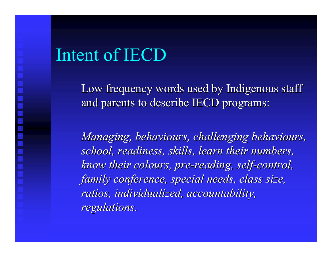#### Intent of IECD

Low frequency words used by Indigenous staff and parents to describe IECD programs:

*Managing, behaviours, challenging behaviours, Managing, behaviours, challenging behaviours, school, readiness, skills, learn their numbers, school, readiness, skills, learn their numbers, know their colours, pre-reading, self-control, family conference, special needs, class size, family conference, special needs, class size, ratios, individualized, accountability, ratios, individualized, accountability, regulations. regulations.*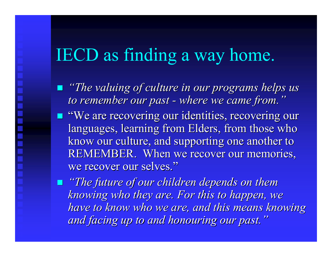### IECD as finding a way home.

- *"The valuing of culture in our programs helps us to remember our past to remember our past where we came from." where we came from."*
- **T** "We are recovering our identities, recovering our languages, learning from Elders, from those who know our culture, and supporting one another to know our culture, and supporting one another to REMEMBER. When we recover our memories, we recover our selves."
- *"The future of our children depends on them "The future of our children depends on them knowing who they are. For this to happen, we knowing who they are. For this to happen, we have to know who we are, and this means knowing and facing up to and honouring our past." and facing up to and honouring our past."*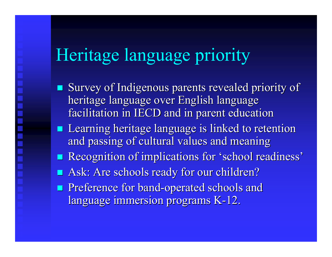## Heritage language priority

- $\blacksquare$  Survey of Indigenous parents revealed priority of heritage language over English language facilitation in IECD and in parent education
- **Learning heritage language is linked to retention** and passing of cultural values and meaning
- **Recognition of implications for 'school readiness'**
- **Ask: Are schools ready for our children?**
- **Preference for band-operated schools and** language immersion programs K-12.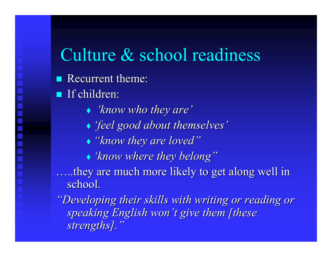#### Culture & school readiness

- Recurrent theme:
- If children:
	- *'know who they are' 'know who they are'*
	- *'feel good about themselves' 'feel good about themselves'*
	- *"know they are loved" "know they are loved"*
	- *'know where they belong" 'know where they belong"*

they are much more likely to get along well in school.

"Developing their skills with writing or reading or *speaking English won't give them [these strengths]." strengths]."*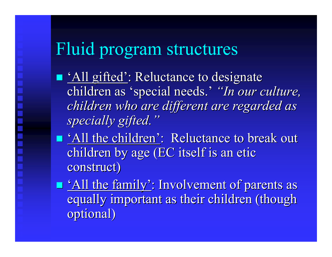### Fluid program structures

- lacktriance to designate  $\blacksquare$  'All gifted': Reluctance to designate children as 'special needs.' "In our culture, *children who are different are regarded as children who are different are regarded as specially gifted." specially gifted."*
- **T** 'All the children': Reluctance to break out children by age (EC itself is an etic construct)
- **T** 'All the family': Involvement of parents as equally important as their children (though optional)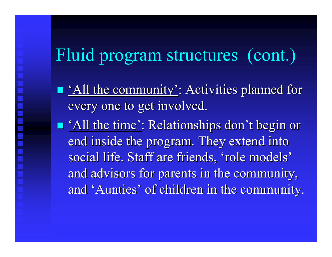### Fluid program structures (cont.)

- **T** 'All the community': Activities planned for every one to get involved.
- **T** 'All the time': Relationships don't begin or end inside the program. They extend into social life. Staff are friends, 'role models' and advisors for parents in the community, and 'Aunties' of children in the community. and 'Aunties' of children in the community.